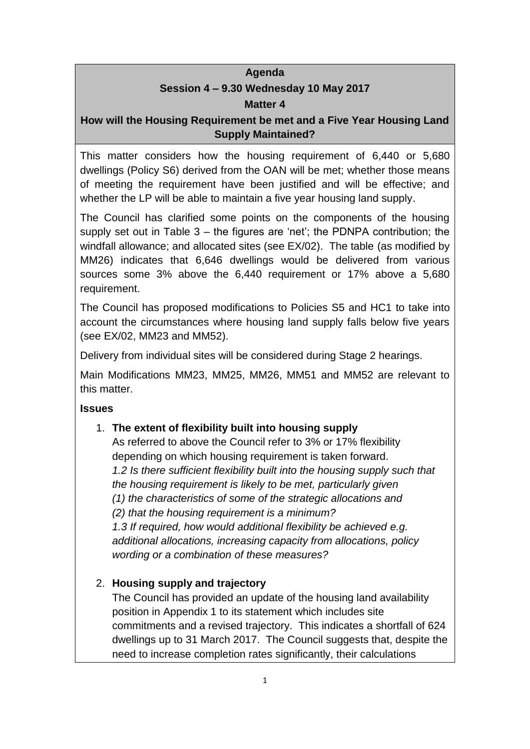#### **Agenda**

## **Session 4 – 9.30 Wednesday 10 May 2017 Matter 4**

### **How will the Housing Requirement be met and a Five Year Housing Land Supply Maintained?**

This matter considers how the housing requirement of 6,440 or 5,680 dwellings (Policy S6) derived from the OAN will be met; whether those means of meeting the requirement have been justified and will be effective; and whether the LP will be able to maintain a five year housing land supply.

The Council has clarified some points on the components of the housing supply set out in Table 3 – the figures are 'net'; the PDNPA contribution; the windfall allowance; and allocated sites (see EX/02). The table (as modified by MM26) indicates that 6,646 dwellings would be delivered from various sources some 3% above the 6,440 requirement or 17% above a 5,680 requirement.

The Council has proposed modifications to Policies S5 and HC1 to take into account the circumstances where housing land supply falls below five years (see EX/02, MM23 and MM52).

Delivery from individual sites will be considered during Stage 2 hearings.

Main Modifications MM23, MM25, MM26, MM51 and MM52 are relevant to this matter.

#### **Issues**

### 1. **The extent of flexibility built into housing supply**

As referred to above the Council refer to 3% or 17% flexibility depending on which housing requirement is taken forward. *1.2 Is there sufficient flexibility built into the housing supply such that the housing requirement is likely to be met, particularly given (1) the characteristics of some of the strategic allocations and (2) that the housing requirement is a minimum? 1.3 If required, how would additional flexibility be achieved e.g. additional allocations, increasing capacity from allocations, policy wording or a combination of these measures?*

### 2. **Housing supply and trajectory**

The Council has provided an update of the housing land availability position in Appendix 1 to its statement which includes site commitments and a revised trajectory. This indicates a shortfall of 624 dwellings up to 31 March 2017. The Council suggests that, despite the need to increase completion rates significantly, their calculations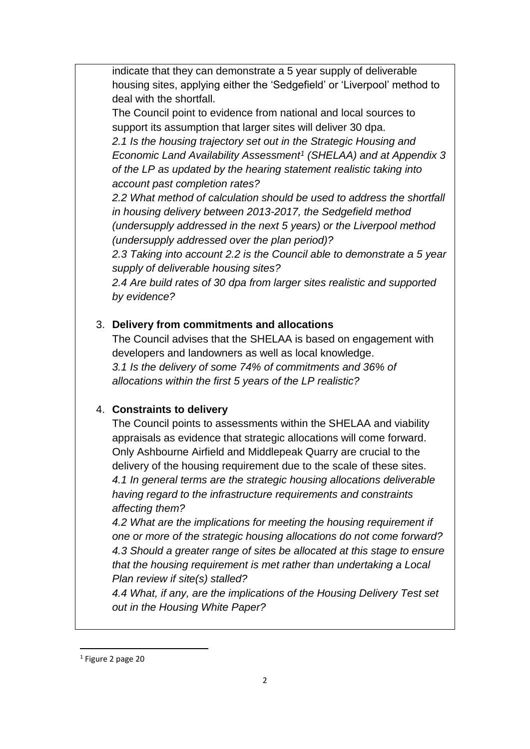indicate that they can demonstrate a 5 year supply of deliverable housing sites, applying either the 'Sedgefield' or 'Liverpool' method to deal with the shortfall.

The Council point to evidence from national and local sources to support its assumption that larger sites will deliver 30 dpa.

*2.1 Is the housing trajectory set out in the Strategic Housing and Economic Land Availability Assessment<sup>1</sup> (SHELAA) and at Appendix 3 of the LP as updated by the hearing statement realistic taking into account past completion rates?*

*2.2 What method of calculation should be used to address the shortfall in housing delivery between 2013-2017, the Sedgefield method (undersupply addressed in the next 5 years) or the Liverpool method (undersupply addressed over the plan period)?*

*2.3 Taking into account 2.2 is the Council able to demonstrate a 5 year supply of deliverable housing sites?*

*2.4 Are build rates of 30 dpa from larger sites realistic and supported by evidence?*

### 3. **Delivery from commitments and allocations**

The Council advises that the SHELAA is based on engagement with developers and landowners as well as local knowledge. *3.1 Is the delivery of some 74% of commitments and 36% of allocations within the first 5 years of the LP realistic?*

### 4. **Constraints to delivery**

The Council points to assessments within the SHELAA and viability appraisals as evidence that strategic allocations will come forward. Only Ashbourne Airfield and Middlepeak Quarry are crucial to the delivery of the housing requirement due to the scale of these sites. *4.1 In general terms are the strategic housing allocations deliverable having regard to the infrastructure requirements and constraints affecting them?*

*4.2 What are the implications for meeting the housing requirement if one or more of the strategic housing allocations do not come forward? 4.3 Should a greater range of sites be allocated at this stage to ensure that the housing requirement is met rather than undertaking a Local Plan review if site(s) stalled?*

*4.4 What, if any, are the implications of the Housing Delivery Test set out in the Housing White Paper?*

**.** 

<sup>1</sup> Figure 2 page 20